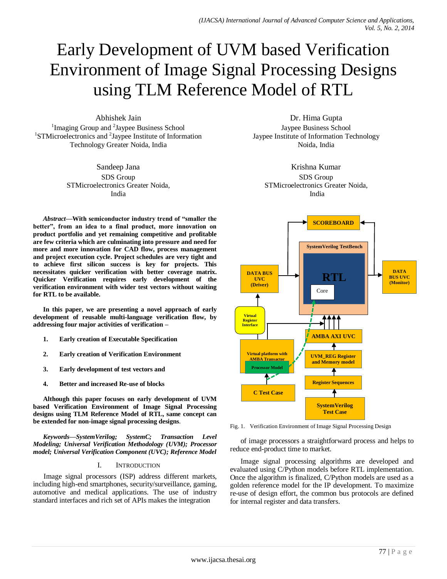# Early Development of UVM based Verification Environment of Image Signal Processing Designs using TLM Reference Model of RTL

Abhishek Jain

<sup>1</sup>Imaging Group and <sup>2</sup>Jaypee Business School <sup>1</sup>STMicroelectronics and <sup>2</sup>Jaypee Institute of Information Technology Greater Noida, India

> Sandeep Jana SDS Group STMicroelectronics Greater Noida, India

*Abstract***—With semiconductor industry trend of "smaller the better", from an idea to a final product, more innovation on product portfolio and yet remaining competitive and profitable are few criteria which are culminating into pressure and need for more and more innovation for CAD flow, process management and project execution cycle. Project schedules are very tight and to achieve first silicon success is key for projects. This necessitates quicker verification with better coverage matrix. Quicker Verification requires early development of the verification environment with wider test vectors without waiting for RTL to be available.**

**In this paper, we are presenting a novel approach of early development of reusable multi-language verification flow, by addressing four major activities of verification –**

- **1. Early creation of Executable Specification**
- **2. Early creation of Verification Environment**
- **3. Early development of test vectors and**
- **4. Better and increased Re-use of blocks**

**Although this paper focuses on early development of UVM based Verification Environment of Image Signal Processing designs using TLM Reference Model of RTL, same concept can be extended for non-image signal processing designs***.*

*Keywords—SystemVerilog; SystemC; Transaction Level Modeling; Universal Verification Methodology (UVM); Processor model; Universal Verification Component (UVC); Reference Model*

#### I. INTRODUCTION

Image signal processors (ISP) address different markets, including high-end smartphones, security/surveillance, gaming, automotive and medical applications. The use of industry standard interfaces and rich set of APIs makes the integration

Dr. Hima Gupta Jaypee Business School Jaypee Institute of Information Technology Noida, India

> Krishna Kumar SDS Group STMicroelectronics Greater Noida, India



Fig. 1. Verification Environment of Image Signal Processing Design

of image processors a straightforward process and helps to reduce end-product time to market.

Image signal processing algorithms are developed and evaluated using C/Python models before RTL implementation. Once the algorithm is finalized, C/Python models are used as a golden reference model for the IP development. To maximize re-use of design effort, the common bus protocols are defined for internal register and data transfers.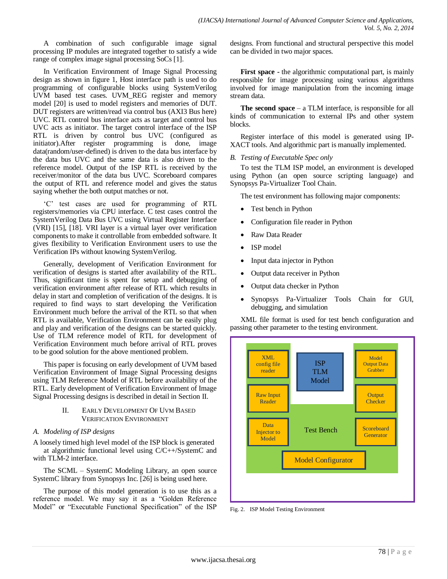A combination of such configurable image signal processing IP modules are integrated together to satisfy a wide range of complex image signal processing SoCs [1].

In Verification Environment of Image Signal Processing design as shown in figure 1, Host interface path is used to do programming of configurable blocks using SystemVerilog UVM based test cases. UVM\_REG register and memory model [20] is used to model registers and memories of DUT. DUT registers are written/read via control bus (AXI3 Bus here) UVC. RTL control bus interface acts as target and control bus UVC acts as initiator. The target control interface of the ISP RTL is driven by control bus UVC (configured as initiator).After register programming is done, image data(random/user-defined) is driven to the data bus interface by the data bus UVC and the same data is also driven to the reference model. Output of the ISP RTL is received by the receiver/monitor of the data bus UVC. Scoreboard compares the output of RTL and reference model and gives the status saying whether the both output matches or not.

'C' test cases are used for programming of RTL registers/memories via CPU interface. C test cases control the SystemVerilog Data Bus UVC using Virtual Register Interface (VRI) [15], [18]. VRI layer is a virtual layer over verification components to make it controllable from embedded software. It gives flexibility to Verification Environment users to use the Verification IPs without knowing SystemVerilog.

Generally, development of Verification Environment for verification of designs is started after availability of the RTL. Thus, significant time is spent for setup and debugging of verification environment after release of RTL which results in delay in start and completion of verification of the designs. It is required to find ways to start developing the Verification Environment much before the arrival of the RTL so that when RTL is available, Verification Environment can be easily plug and play and verification of the designs can be started quickly. Use of TLM reference model of RTL for development of Verification Environment much before arrival of RTL proves to be good solution for the above mentioned problem.

This paper is focusing on early development of UVM based Verification Environment of Image Signal Processing designs using TLM Reference Model of RTL before availability of the RTL. Early development of Verification Environment of Image Signal Processing designs is described in detail in Section II.

## II. EARLY DEVELOPMENT OF UVM BASED VERIFICATION ENVIRONMENT

## *A. Modeling of ISP designs*

A loosely timed high level model of the ISP block is generated at algorithmic functional level using C/C++/SystemC and with TLM-2 interface.

The SCML – SystemC Modeling Library, an open source SystemC library from Synopsys Inc. [26] is being used here.

The purpose of this model generation is to use this as a reference model. We may say it as a "Golden Reference Model" or "Executable Functional Specification" of the ISP

designs. From functional and structural perspective this model can be divided in two major spaces.

**First space -** the algorithmic computational part, is mainly responsible for image processing using various algorithms involved for image manipulation from the incoming image stream data.

**The second space** – a TLM interface, is responsible for all kinds of communication to external IPs and other system blocks.

Register interface of this model is generated using IP-XACT tools. And algorithmic part is manually implemented.

## *B. Testing of Executable Spec only*

To test the TLM ISP model, an environment is developed using Python (an open source scripting language) and Synopsys Pa-Virtualizer Tool Chain.

The test environment has following major components:

- Test bench in Python
- Configuration file reader in Python
- Raw Data Reader
- ISP model
- Input data injector in Python
- Output data receiver in Python
- Output data checker in Python
- Synopsys Pa-Virtualizer Tools Chain for GUI, debugging, and simulation

XML file format is used for test bench configuration and passing other parameter to the testing environment.



Fig. 2. ISP Model Testing Environment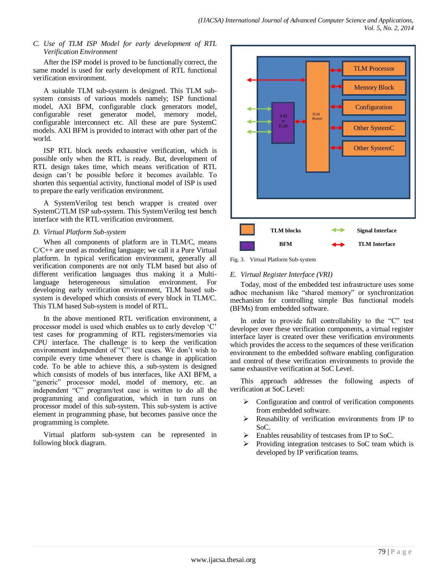## *C. Use of TLM ISP Model for early development of RTL Verification Environment*

After the ISP model is proved to be functionally correct, the same model is used for early development of RTL functional verification environment.

A suitable TLM sub-system is designed. This TLM subsystem consists of various models namely; ISP functional model, AXI BFM, configurable clock generators model, configurable reset generator model, memory model, configurable interconnect etc. All these are pure SystemC models. AXI BFM is provided to interact with other part of the world.

ISP RTL block needs exhaustive verification, which is possible only when the RTL is ready. But, development of RTL design takes time, which means verification of RTL design can't be possible before it becomes available. To shorten this sequential activity, functional model of ISP is used to prepare the early verification environment.

A SystemVerilog test bench wrapper is created over SystemC/TLM ISP sub-system. This SystemVerilog test bench interface with the RTL verification environment.

## *D. Virtual Platform Sub-system*

When all components of platform are in TLM/C, means C/C++ are used as modeling language; we call it a Pure Virtual platform. In typical verification environment, generally all verification components are not only TLM based but also of different verification languages thus making it a Multilanguage heterogeneous simulation environment. For developing early verification environment, TLM based subsystem is developed which consists of every block in TLM/C. This TLM based Sub-system is model of RTL.

In the above mentioned RTL verification environment, a processor model is used which enables us to early develop 'C' test cases for programming of RTL registers/memories via CPU interface. The challenge is to keep the verification environment independent of "C" test cases. We don't wish to compile every time whenever there is change in application code. To be able to achieve this, a sub-system is designed which consists of models of bus interfaces, like AXI BFM, a "generic" processor model, model of memory, etc. an independent "C" program/test case is written to do all the programming and configuration, which in turn runs on processor model of this sub-system. This sub-system is active element in programming phase, but becomes passive once the programming is complete.

Virtual platform sub-system can be represented in following block diagram.



Fig. 3. Virtual Platform Sub-system

## *E. Virtual Register Interface (VRI)*

Today, most of the embedded test infrastructure uses some adhoc mechanism like "shared memory" or synchronization mechanism for controlling simple Bus functional models M (BFMs) from embedded software.

In order to provide full controllability to the "C" test developer over these verification components, a virtual register interface layer is created over these verification environments which provides the access to the sequences of these verification environment to the embedded software enabling configuration and control of these verification environments to provide the same exhaustive verification at SoC Level.

This approach addresses the following aspects of verification at SoC Level:

- $\triangleright$  Configuration and control of verification components from embedded software.
- Reusability of verification environments from IP to SoC.
- Enables reusability of testcases from IP to SoC.
- $\triangleright$  Providing integration testcases to SoC team which is developed by IP verification teams.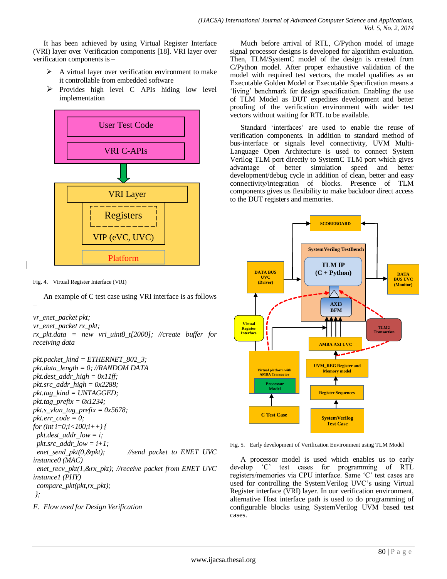It has been achieved by using Virtual Register Interface (VRI) layer over Verification components [18]. VRI layer over verification components is –

- $\triangleright$  A virtual layer over verification environment to make it controllable from embedded software
- Provides high level C APIs hiding low level implementation



Fig. 4. Virtual Register Interface (VRI)

–

An example of C test case using VRI interface is as follows

```
vr_enet_packet pkt;
vr_enet_packet rx_pkt;
rx_pkt.data = new vri_uint8_t[2000]; //create buffer for 
receiving data
```

```
pkt.packet_kind = ETHERNET_802_3;
pkt.data_length = 0; //RANDOM DATA
pkt.dest_addr_high = 0x11ff;
pkt.src_addr_high = 0x2288;
pkt.tag_kind = UNTAGGED;
pkt.tag_prefix = 0x1234;
pkt.s_vlan_tag_prefix = 0x5678;
pkt.err_code = 0;
for (int i=0;i<100;i++) {
 pkt.dest_addr_low = i;
 pkt.src_addr_low = i+1;
  enet_send_pkt(0,&pkt); //send packet to ENET UVC 
instance0 (MAC)
  enet_recv_pkt(1,&rx_pkt); //receive packet from ENET UVC 
instance1 (PHY)
  compare_pkt(pkt,rx_pkt);
};
```
*F. Flow used for Design Verification* 

Much before arrival of RTL, C/Python model of image signal processor designs is developed for algorithm evaluation. Then, TLM/SystemC model of the design is created from C/Python model. After proper exhaustive validation of the model with required test vectors, the model qualifies as an Executable Golden Model or Executable Specification means a 'living' benchmark for design specification. Enabling the use of TLM Model as DUT expedites development and better proofing of the verification environment with wider test vectors without waiting for RTL to be available.

Standard 'interfaces' are used to enable the reuse of verification components. In addition to standard method of bus-interface or signals level connectivity, UVM Multi-Language Open Architecture is used to connect System Verilog TLM port directly to SystemC TLM port which gives advantage of better simulation speed and better development/debug cycle in addition of clean, better and easy connectivity/integration of blocks. Presence of TLM components gives us flexibility to make backdoor direct access to the DUT registers and memories.



Fig. 5. Early development of Verification Environment using TLM Model

A processor model is used which enables us to early develop 'C' test cases for programming of RTL registers/memories via CPU interface. Same 'C' test cases are used for controlling the SystemVerilog UVC's using Virtual Register interface (VRI) layer. In our verification environment, alternative Host interface path is used to do programming of configurable blocks using SystemVerilog UVM based test cases.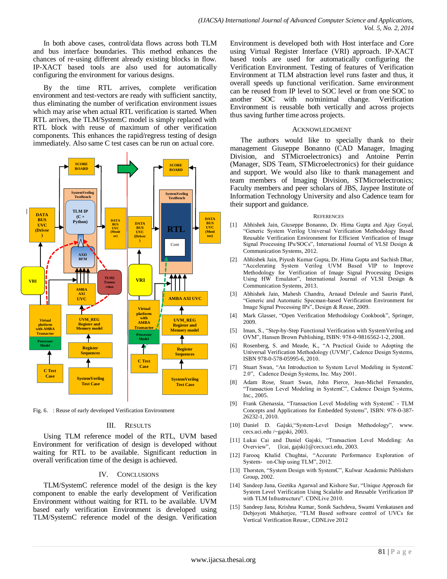In both above cases, control/data flows across both TLM and bus interface boundaries. This method enhances the chances of re-using different already existing blocks in flow. IP-XACT based tools are also used for automatically configuring the environment for various designs.

By the time RTL arrives, complete verification environment and test-vectors are ready with sufficient sanctity, thus eliminating the number of verification environment issues which may arise when actual RTL verification is started. When RTL arrives, the TLM/SystemC model is simply replaced with RTL block with reuse of maximum of other verification components. This enhances the rapid/regress testing of design immediately. Also same C test cases can be run on actual core.



Fig. 6. : Reuse of early developed Verification Environment

#### III. RESULTS

Using TLM reference model of the RTL, UVM based Environment for verification of design is developed without waiting for RTL to be available. Significant reduction in overall verification time of the design is achieved.

## IV. CONCLUSIONS

TLM/SystemC reference model of the design is the key component to enable the early development of Verification Environment without waiting for RTL to be available. UVM based early verification Environment is developed using TLM/SystemC reference model of the design. Verification Environment is developed both with Host interface and Core using Virtual Register Interface (VRI) approach. IP-XACT based tools are used for automatically configuring the Verification Environment. Testing of features of Verification Environment at TLM abstraction level runs faster and thus, it overall speeds up functional verification. Same environment can be reused from IP level to SOC level or from one SOC to another SOC with no/minimal change. Verification Environment is reusable both vertically and across projects thus saving further time across projects.

## ACKNOWLEDGMENT

The authors would like to specially thank to their management Giuseppe Bonanno (CAD Manager, Imaging Division, and STMicroelectronics) and Antoine Perrin (Manager, SDS Team, STMicroelectronics) for their guidance and support. We would also like to thank management and team members of Imaging Division, STMicroelectronics; Faculty members and peer scholars of JBS, Jaypee Institute of Information Technology University and also Cadence team for their support and guidance.

#### **REFERENCES**

- [1] Abhishek Jain, Giuseppe Bonanno, Dr. Hima Gupta and Ajay Goyal, "Generic System Verilog Universal Verification Methodology Based Reusable Verification Environment for Efficient Verification of Image Signal Processing IPs/SOCs", International Journal of VLSI Design & Communication Systems, 2012.
- [2] Abhishek Jain, Piyush Kumar Gupta, Dr. Hima Gupta and Sachish Dhar, "Accelerating System Verilog UVM Based VIP to Improve Methodology for Verification of Image Signal Processing Designs Using HW Emulator", International Journal of VLSI Design & Communication Systems, 2013.
- [3] Abhishek Jain, Mahesh Chandra, Arnaud Deleule and Saurin Patel, "Generic and Automatic Specman-based Verification Environment for Image Signal Processing IPs", Design & Reuse, 2009.
- [4] Mark Glasser, "Open Verification Methodology Cookbook", Springer, 2009.
- [5] Iman, S., "Step-by-Step Functional Verification with SystemVerilog and OVM", Hansen Brown Publishing, ISBN: 978-0-9816562-1-2, 2008.
- [6] Rosenberg, S. and Meade, K., "A Practical Guide to Adopting the Universal Verification Methodology (UVM)", Cadence Design Systems, ISBN 978-0-578-05995-6, 2010.
- [7] Stuart Swan, "An Introduction to System Level Modeling in SystemC 2.0", Cadence Design Systems, Inc. May 2001.
- [8] Adam Rose, Stuart Swan, John Pierce, Jean-Michel Fernandez, "Transaction Level Modeling in SystemC", Cadence Design Systems, Inc., 2005.
- [9] [Frank Ghenassia,](http://link.springer.com/search?facet-author=%22Frank+Ghenassia%22) "Transaction Level Modeling with SystemC TLM Concepts and Applications for Embedded Systems", ISBN: 978-0-387- 26232-1, 2010.
- [10] Daniel D. Gajski,"System-Level Design Methodology", www. cecs.uci.edu [/~gajski,](http://www.cecs.uci.edu/~gajski) 2003.
- [11] Lukai Cai and Daniel Gajski, "Transaction Level Modeling: An Overview", {lcai[, gajski}@cecs.uci.edu,](mailto:gajski%7d@cecs.uci.edu) 2003.
- [12] Farooq Khalid Chughtai, "Accurate Performance Exploration of System- on-Chip using TLM", 2012.
- [13] Thorsten, "System Design with SystemC", Kulwar Academic Publishers Group, 2002.
- [14] Sandeep Jana, Geetika Agarwal and Kishore Sur, "Unique Approach for System Level Verification Using Scalable and Reusable Verification IP with TLM Infrastructure". CDNLive 2010.
- [15] Sandeep Jana, Krishna Kumar, Sonik Sachdeva, Swami Venkatasen and Debjoyoti Mukherjee, "TLM Based software control of UVCs for Vertical Verification Reuse:, CDNLive 2012